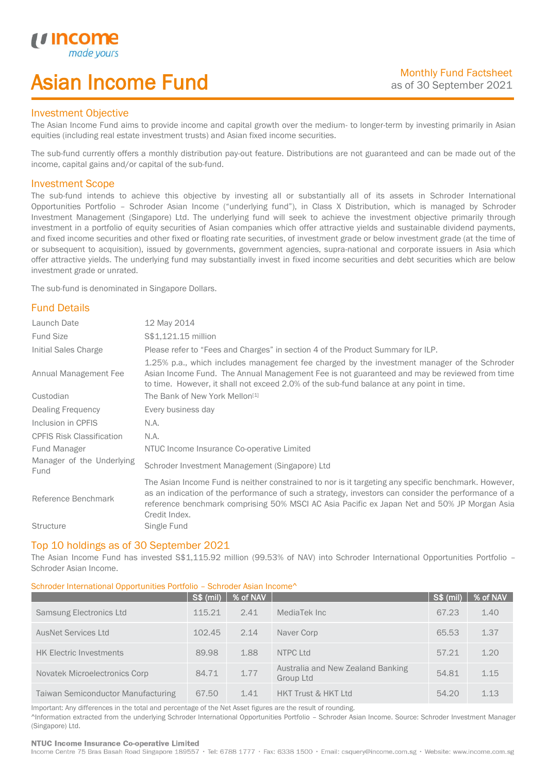# Asian Income Fund

## Investment Objective

u incor

I

The Asian Income Fund aims to provide income and capital growth over the medium- to longer-term by investing primarily in Asian equities (including real estate investment trusts) and Asian fixed income securities.

The sub-fund currently offers a monthly distribution pay-out feature. Distributions are not guaranteed and can be made out of the income, capital gains and/or capital of the sub-fund.

## Investment Scope

The sub-fund intends to achieve this objective by investing all or substantially all of its assets in Schroder International Opportunities Portfolio – Schroder Asian Income ("underlying fund"), in Class X Distribution, which is managed by Schroder Investment Management (Singapore) Ltd. The underlying fund will seek to achieve the investment objective primarily through investment in a portfolio of equity securities of Asian companies which offer attractive yields and sustainable dividend payments, and fixed income securities and other fixed or floating rate securities, of investment grade or below investment grade (at the time of or subsequent to acquisition), issued by governments, government agencies, supra-national and corporate issuers in Asia which offer attractive yields. The underlying fund may substantially invest in fixed income securities and debt securities which are below investment grade or unrated.

The sub-fund is denominated in Singapore Dollars.

# Fund Details

| Launch Date                       | 12 May 2014                                                                                                                                                                                                                                                                                                                 |
|-----------------------------------|-----------------------------------------------------------------------------------------------------------------------------------------------------------------------------------------------------------------------------------------------------------------------------------------------------------------------------|
| <b>Fund Size</b>                  | S\$1,121.15 million                                                                                                                                                                                                                                                                                                         |
| Initial Sales Charge              | Please refer to "Fees and Charges" in section 4 of the Product Summary for ILP.                                                                                                                                                                                                                                             |
| Annual Management Fee             | 1.25% p.a., which includes management fee charged by the investment manager of the Schroder<br>Asian Income Fund. The Annual Management Fee is not guaranteed and may be reviewed from time<br>to time. However, it shall not exceed 2.0% of the sub-fund balance at any point in time.                                     |
| Custodian                         | The Bank of New York Mellon <sup>[1]</sup>                                                                                                                                                                                                                                                                                  |
| Dealing Frequency                 | Every business day                                                                                                                                                                                                                                                                                                          |
| Inclusion in CPFIS                | N.A.                                                                                                                                                                                                                                                                                                                        |
| <b>CPFIS Risk Classification</b>  | N.A.                                                                                                                                                                                                                                                                                                                        |
| Fund Manager                      | NTUC Income Insurance Co-operative Limited                                                                                                                                                                                                                                                                                  |
| Manager of the Underlying<br>Fund | Schroder Investment Management (Singapore) Ltd                                                                                                                                                                                                                                                                              |
| Reference Benchmark               | The Asian Income Fund is neither constrained to nor is it targeting any specific benchmark. However,<br>as an indication of the performance of such a strategy, investors can consider the performance of a<br>reference benchmark comprising 50% MSCI AC Asia Pacific ex Japan Net and 50% JP Morgan Asia<br>Credit Index. |
| <b>Structure</b>                  | Single Fund                                                                                                                                                                                                                                                                                                                 |

## Top 10 holdings as of 30 September 2021

The Asian Income Fund has invested S\$1,115.92 million (99.53% of NAV) into Schroder International Opportunities Portfolio – Schroder Asian Income.

## Schroder International Opportunities Portfolio – Schroder Asian Income^

|                                           | <b>S\$ (mil)</b> | % of NAV |                                                | <b>S\$ (mil)</b> | % of NAV |
|-------------------------------------------|------------------|----------|------------------------------------------------|------------------|----------|
| <b>Samsung Electronics Ltd</b>            | 115.21           | 2.41     | MediaTek Inc                                   | 67.23            | 1.40     |
| <b>AusNet Services Ltd</b>                | 102.45           | 2.14     | Naver Corp                                     | 65.53            | 1.37     |
| <b>HK Electric Investments</b>            | 89.98            | 1.88     | NTPC Ltd                                       | 57.21            | 1.20     |
| Novatek Microelectronics Corp             | 84.71            | 1.77     | Australia and New Zealand Banking<br>Group Ltd | 54.81            | 1.15     |
| <b>Taiwan Semiconductor Manufacturing</b> | 67.50            | 1.41     | <b>HKT Trust &amp; HKT Ltd</b>                 | 54.20            | 1.13     |

Important: Any differences in the total and percentage of the Net Asset figures are the result of rounding. ^Information extracted from the underlying Schroder International Opportunities Portfolio – Schroder Asian Income. Source: Schroder Investment Manager (Singapore) Ltd.

### NTUC Income Insurance Co-operative Limited

Income Centre 75 Bras Basah Road Singapore 189557 · Tel: 6788 1777 · Fax: 6338 1500 · Email: csquery@income.com.sg · Website: www.income.com.sg